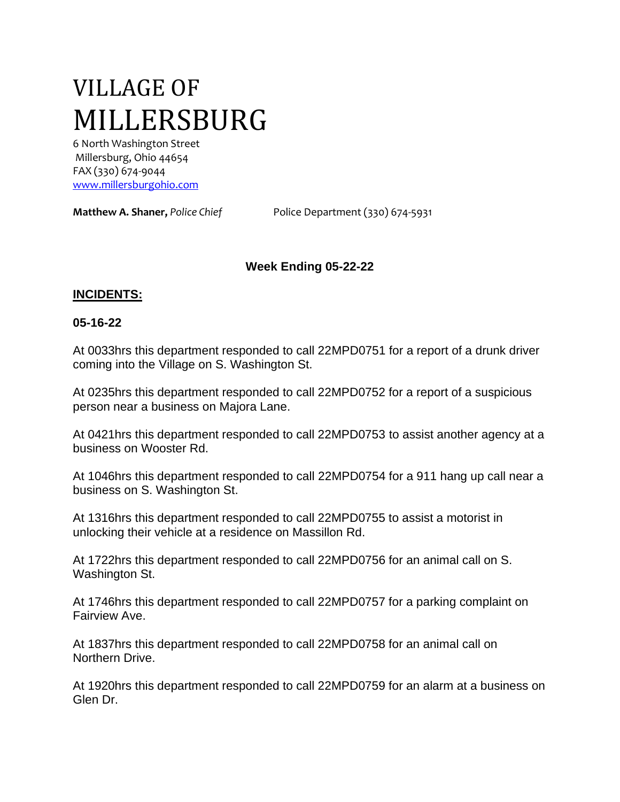# VILLAGE OF MILLERSBURG

6 North Washington Street Millersburg, Ohio 44654 FAX (330) 674-9044 [www.millersburgohio.com](http://www.millersburgohio.com/)

**Matthew A. Shaner,** *Police Chief* Police Department (330) 674-5931

## **Week Ending 05-22-22**

#### **INCIDENTS:**

#### **05-16-22**

At 0033hrs this department responded to call 22MPD0751 for a report of a drunk driver coming into the Village on S. Washington St.

At 0235hrs this department responded to call 22MPD0752 for a report of a suspicious person near a business on Majora Lane.

At 0421hrs this department responded to call 22MPD0753 to assist another agency at a business on Wooster Rd.

At 1046hrs this department responded to call 22MPD0754 for a 911 hang up call near a business on S. Washington St.

At 1316hrs this department responded to call 22MPD0755 to assist a motorist in unlocking their vehicle at a residence on Massillon Rd.

At 1722hrs this department responded to call 22MPD0756 for an animal call on S. Washington St.

At 1746hrs this department responded to call 22MPD0757 for a parking complaint on Fairview Ave.

At 1837hrs this department responded to call 22MPD0758 for an animal call on Northern Drive.

At 1920hrs this department responded to call 22MPD0759 for an alarm at a business on Glen Dr.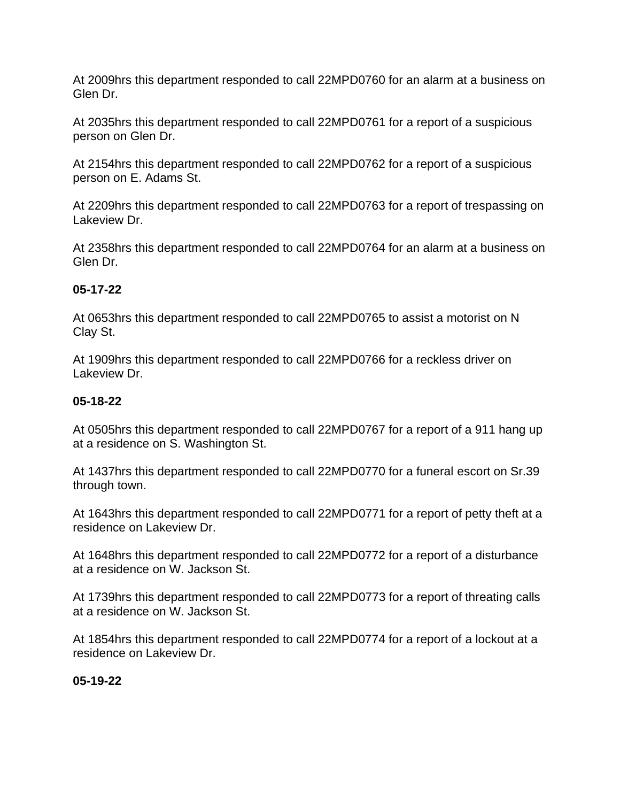At 2009hrs this department responded to call 22MPD0760 for an alarm at a business on Glen Dr.

At 2035hrs this department responded to call 22MPD0761 for a report of a suspicious person on Glen Dr.

At 2154hrs this department responded to call 22MPD0762 for a report of a suspicious person on E. Adams St.

At 2209hrs this department responded to call 22MPD0763 for a report of trespassing on Lakeview Dr.

At 2358hrs this department responded to call 22MPD0764 for an alarm at a business on Glen Dr.

## **05-17-22**

At 0653hrs this department responded to call 22MPD0765 to assist a motorist on N Clay St.

At 1909hrs this department responded to call 22MPD0766 for a reckless driver on Lakeview Dr.

## **05-18-22**

At 0505hrs this department responded to call 22MPD0767 for a report of a 911 hang up at a residence on S. Washington St.

At 1437hrs this department responded to call 22MPD0770 for a funeral escort on Sr.39 through town.

At 1643hrs this department responded to call 22MPD0771 for a report of petty theft at a residence on Lakeview Dr.

At 1648hrs this department responded to call 22MPD0772 for a report of a disturbance at a residence on W. Jackson St.

At 1739hrs this department responded to call 22MPD0773 for a report of threating calls at a residence on W. Jackson St.

At 1854hrs this department responded to call 22MPD0774 for a report of a lockout at a residence on Lakeview Dr.

## **05-19-22**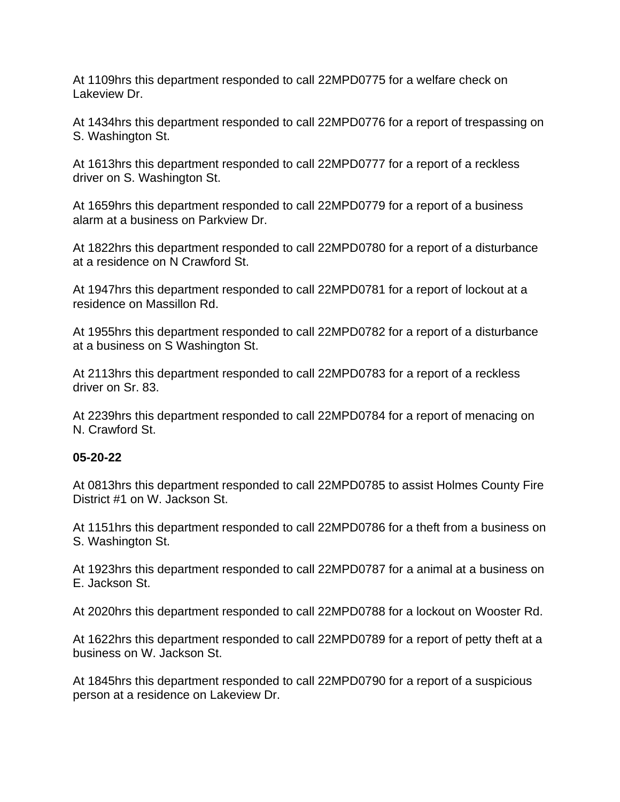At 1109hrs this department responded to call 22MPD0775 for a welfare check on Lakeview Dr.

At 1434hrs this department responded to call 22MPD0776 for a report of trespassing on S. Washington St.

At 1613hrs this department responded to call 22MPD0777 for a report of a reckless driver on S. Washington St.

At 1659hrs this department responded to call 22MPD0779 for a report of a business alarm at a business on Parkview Dr.

At 1822hrs this department responded to call 22MPD0780 for a report of a disturbance at a residence on N Crawford St.

At 1947hrs this department responded to call 22MPD0781 for a report of lockout at a residence on Massillon Rd.

At 1955hrs this department responded to call 22MPD0782 for a report of a disturbance at a business on S Washington St.

At 2113hrs this department responded to call 22MPD0783 for a report of a reckless driver on Sr. 83.

At 2239hrs this department responded to call 22MPD0784 for a report of menacing on N. Crawford St.

#### **05-20-22**

At 0813hrs this department responded to call 22MPD0785 to assist Holmes County Fire District #1 on W. Jackson St.

At 1151hrs this department responded to call 22MPD0786 for a theft from a business on S. Washington St.

At 1923hrs this department responded to call 22MPD0787 for a animal at a business on E. Jackson St.

At 2020hrs this department responded to call 22MPD0788 for a lockout on Wooster Rd.

At 1622hrs this department responded to call 22MPD0789 for a report of petty theft at a business on W. Jackson St.

At 1845hrs this department responded to call 22MPD0790 for a report of a suspicious person at a residence on Lakeview Dr.